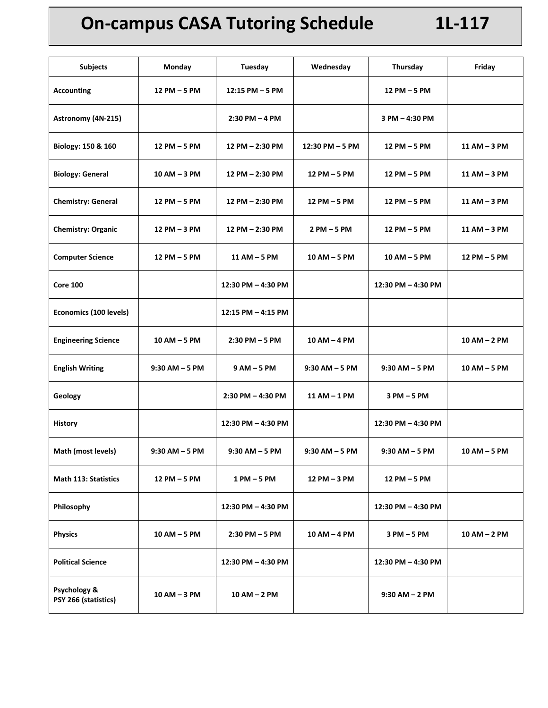## **On-campus CASA Tutoring Schedule 1L-117**

| <b>Subjects</b>                      | Monday            | <b>Tuesday</b>        | Wednesday         | Thursday           | Friday         |
|--------------------------------------|-------------------|-----------------------|-------------------|--------------------|----------------|
| <b>Accounting</b>                    | 12 PM - 5 PM      | $12:15$ PM $-5$ PM    |                   | 12 PM - 5 PM       |                |
| Astronomy (4N-215)                   |                   | $2:30$ PM $-4$ PM     |                   | 3 PM - 4:30 PM     |                |
| Biology: 150 & 160                   | 12 PM - 5 PM      | 12 PM - 2:30 PM       | 12:30 PM - 5 PM   | 12 PM - 5 PM       | 11 AM - 3 PM   |
| <b>Biology: General</b>              | 10 AM - 3 PM      | 12 PM - 2:30 PM       | 12 PM - 5 PM      | 12 PM - 5 PM       | 11 AM - 3 PM   |
| <b>Chemistry: General</b>            | 12 PM – 5 PM      | 12 PM - 2:30 PM       | 12 PM – 5 PM      | 12 PM - 5 PM       | 11 AM – 3 PM   |
| <b>Chemistry: Organic</b>            | 12 PM - 3 PM      | 12 PM - 2:30 PM       | 2 PM - 5 PM       | 12 PM - 5 PM       | 11 AM - 3 PM   |
| <b>Computer Science</b>              | 12 PM - 5 PM      | 11 AM - 5 PM          | 10 AM - 5 PM      | $10 AM - 5 PM$     | 12 PM - 5 PM   |
| <b>Core 100</b>                      |                   | 12:30 PM - 4:30 PM    |                   | 12:30 PM - 4:30 PM |                |
| Economics (100 levels)               |                   | 12:15 PM - 4:15 PM    |                   |                    |                |
| <b>Engineering Science</b>           | 10 AM - 5 PM      | $2:30$ PM $-5$ PM     | 10 AM - 4 PM      |                    | $10 AM - 2 PM$ |
| <b>English Writing</b>               | $9:30$ AM $-5$ PM | 9 AM – 5 PM           | $9:30$ AM $-5$ PM | $9:30$ AM $-5$ PM  | 10 AM - 5 PM   |
| Geology                              |                   | $2:30$ PM $-$ 4:30 PM | 11 AM - 1 PM      | 3 PM – 5 PM        |                |
| <b>History</b>                       |                   | 12:30 PM - 4:30 PM    |                   | 12:30 PM - 4:30 PM |                |
| Math (most levels)                   | $9:30$ AM $-5$ PM | $9:30$ AM $-5$ PM     | $9:30$ AM $-5$ PM | $9:30$ AM $-5$ PM  | $10 AM - 5 PM$ |
| <b>Math 113: Statistics</b>          | 12 PM - 5 PM      | 1 PM – 5 PM           | 12 PM - 3 PM      | 12 PM - 5 PM       |                |
| Philosophy                           |                   | 12:30 PM - 4:30 PM    |                   | 12:30 PM - 4:30 PM |                |
| <b>Physics</b>                       | $10$ AM $-$ 5 PM  | $2:30$ PM $-5$ PM     | 10 AM - 4 PM      | 3 PM – 5 PM        | 10 AM - 2 PM   |
| <b>Political Science</b>             |                   | 12:30 PM - 4:30 PM    |                   | 12:30 PM - 4:30 PM |                |
| Psychology &<br>PSY 266 (statistics) | 10 AM - 3 PM      | 10 AM – 2 PM          |                   | $9:30$ AM $-$ 2 PM |                |